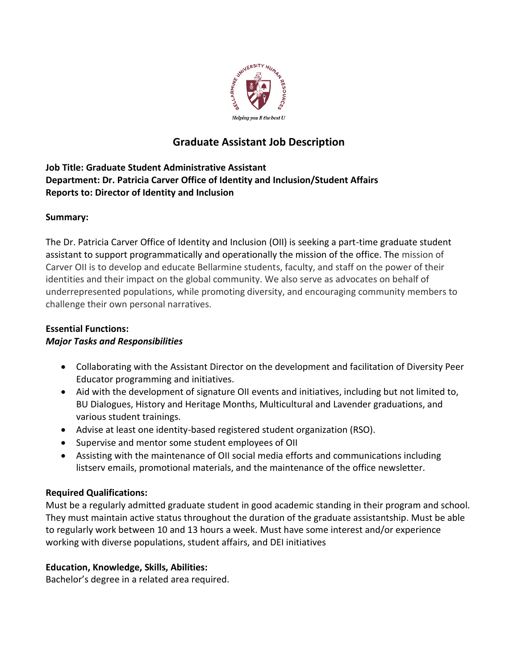

# **Graduate Assistant Job Description**

# **Job Title: Graduate Student Administrative Assistant Department: Dr. Patricia Carver Office of Identity and Inclusion/Student Affairs Reports to: Director of Identity and Inclusion**

### **Summary:**

The Dr. Patricia Carver Office of Identity and Inclusion (OII) is seeking a part-time graduate student assistant to support programmatically and operationally the mission of the office. The mission of Carver OII is to develop and educate Bellarmine students, faculty, and staff on the power of their identities and their impact on the global community. We also serve as advocates on behalf of underrepresented populations, while promoting diversity, and encouraging community members to challenge their own personal narratives.

# **Essential Functions:**

# *Major Tasks and Responsibilities*

- Collaborating with the Assistant Director on the development and facilitation of Diversity Peer Educator programming and initiatives.
- Aid with the development of signature OII events and initiatives, including but not limited to, BU Dialogues, History and Heritage Months, Multicultural and Lavender graduations, and various student trainings.
- Advise at least one identity-based registered student organization (RSO).
- Supervise and mentor some student employees of OII
- Assisting with the maintenance of OII social media efforts and communications including listserv emails, promotional materials, and the maintenance of the office newsletter.

#### **Required Qualifications:**

Must be a regularly admitted graduate student in good academic standing in their program and school. They must maintain active status throughout the duration of the graduate assistantship. Must be able to regularly work between 10 and 13 hours a week. Must have some interest and/or experience working with diverse populations, student affairs, and DEI initiatives

# **Education, Knowledge, Skills, Abilities:**

Bachelor's degree in a related area required.